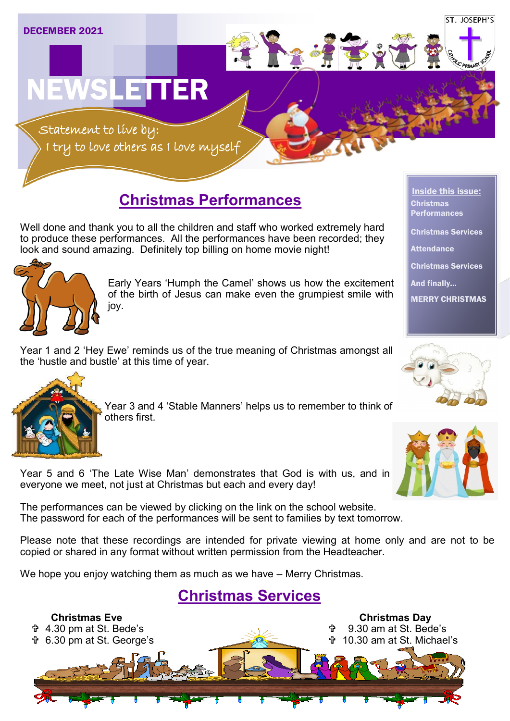

## **Christmas Performances**

Well done and thank you to all the children and staff who worked extremely hard to produce these performances. All the performances have been recorded; they look and sound amazing. Definitely top billing on home movie night!



Early Years 'Humph the Camel' shows us how the excitement of the birth of Jesus can make even the grumpiest smile with joy.

Year 1 and 2 'Hey Ewe' reminds us of the true meaning of Christmas amongst all the 'hustle and bustle' at this time of year.



Year 3 and 4 'Stable Manners' helps us to remember to think of others first.



Year 5 and 6 'The Late Wise Man' demonstrates that God is with us, and in everyone we meet, not just at Christmas but each and every day!

The performances can be viewed by clicking on the link on the school website. The password for each of the performances will be sent to families by text tomorrow.

Please note that these recordings are intended for private viewing at home only and are not to be copied or shared in any format without written permission from the Headteacher.

We hope you enjoy watching them as much as we have – Merry Christmas.

## **Christmas Services**



Inside this issue: Christmas Performances Christmas Services **Attendance** Christmas Services And finally... MERRY CHRISTMAS